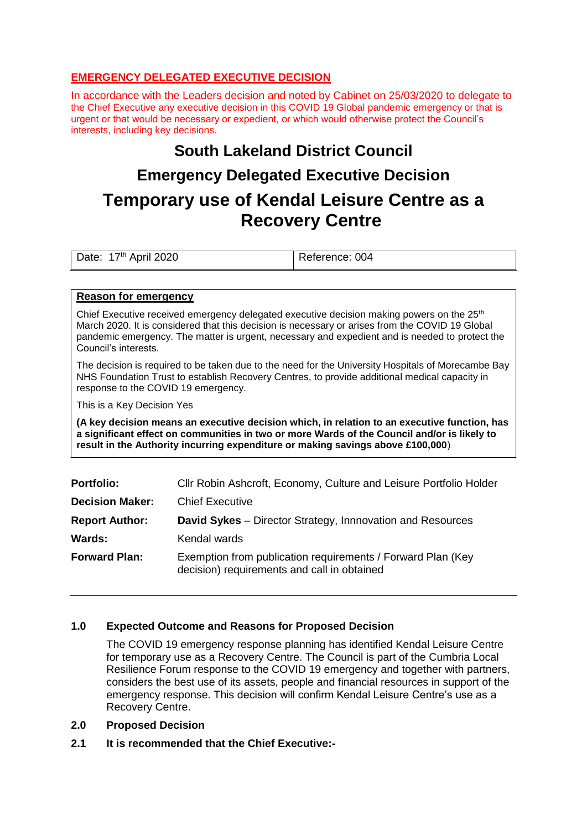# **EMERGENCY DELEGATED EXECUTIVE DECISION**

In accordance with the Leaders decision and noted by Cabinet on 25/03/2020 to delegate to the Chief Executive any executive decision in this COVID 19 Global pandemic emergency or that is urgent or that would be necessary or expedient, or which would otherwise protect the Council's interests, including key decisions.

# **South Lakeland District Council Emergency Delegated Executive Decision**

# **Temporary use of Kendal Leisure Centre as a Recovery Centre**

Date: 17th April 2020 Reference: 004

#### **Reason for emergency**

Chief Executive received emergency delegated executive decision making powers on the  $25<sup>th</sup>$ March 2020. It is considered that this decision is necessary or arises from the COVID 19 Global pandemic emergency. The matter is urgent, necessary and expedient and is needed to protect the Council's interests.

The decision is required to be taken due to the need for the University Hospitals of Morecambe Bay NHS Foundation Trust to establish Recovery Centres, to provide additional medical capacity in response to the COVID 19 emergency.

This is a Key Decision Yes

**(A key decision means an executive decision which, in relation to an executive function, has a significant effect on communities in two or more Wards of the Council and/or is likely to result in the Authority incurring expenditure or making savings above £100,000**)

| <b>Portfolio:</b>      | Cllr Robin Ashcroft, Economy, Culture and Leisure Portfolio Holder                                         |
|------------------------|------------------------------------------------------------------------------------------------------------|
| <b>Decision Maker:</b> | <b>Chief Executive</b>                                                                                     |
| <b>Report Author:</b>  | <b>David Sykes</b> – Director Strategy, Innnovation and Resources                                          |
| <b>Wards:</b>          | Kendal wards                                                                                               |
| <b>Forward Plan:</b>   | Exemption from publication requirements / Forward Plan (Key<br>decision) requirements and call in obtained |

# **1.0 Expected Outcome and Reasons for Proposed Decision**

The COVID 19 emergency response planning has identified Kendal Leisure Centre for temporary use as a Recovery Centre. The Council is part of the Cumbria Local Resilience Forum response to the COVID 19 emergency and together with partners, considers the best use of its assets, people and financial resources in support of the emergency response. This decision will confirm Kendal Leisure Centre's use as a Recovery Centre.

- **2.0 Proposed Decision**
- **2.1 It is recommended that the Chief Executive:-**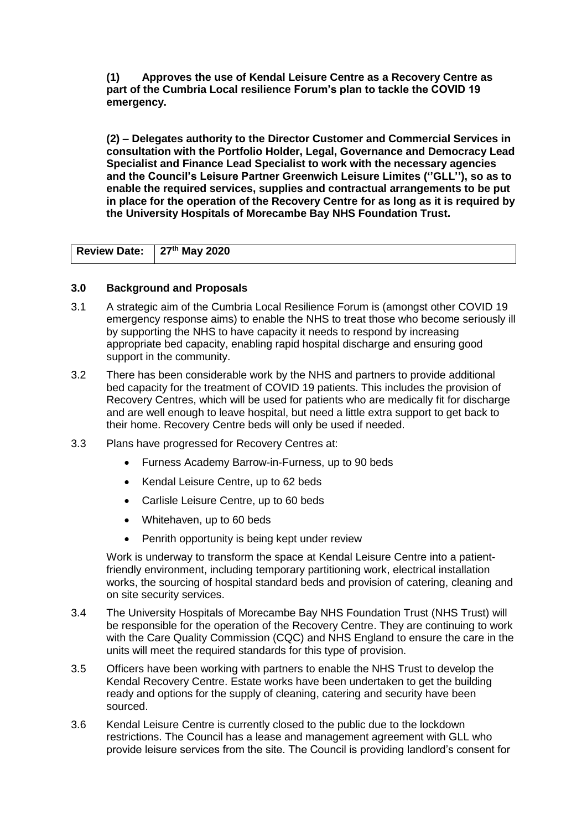**(1) Approves the use of Kendal Leisure Centre as a Recovery Centre as part of the Cumbria Local resilience Forum's plan to tackle the COVID 19 emergency.**

**(2) – Delegates authority to the Director Customer and Commercial Services in consultation with the Portfolio Holder, Legal, Governance and Democracy Lead Specialist and Finance Lead Specialist to work with the necessary agencies and the Council's Leisure Partner Greenwich Leisure Limites (''GLL''), so as to enable the required services, supplies and contractual arrangements to be put in place for the operation of the Recovery Centre for as long as it is required by the University Hospitals of Morecambe Bay NHS Foundation Trust.**

| Review Date: 27th May 2020 |  |
|----------------------------|--|
|                            |  |

#### **3.0 Background and Proposals**

- 3.1 A strategic aim of the Cumbria Local Resilience Forum is (amongst other COVID 19 emergency response aims) to enable the NHS to treat those who become seriously ill by supporting the NHS to have capacity it needs to respond by increasing appropriate bed capacity, enabling rapid hospital discharge and ensuring good support in the community.
- 3.2 There has been considerable work by the NHS and partners to provide additional bed capacity for the treatment of COVID 19 patients. This includes the provision of Recovery Centres, which will be used for patients who are medically fit for discharge and are well enough to leave hospital, but need a little extra support to get back to their home. Recovery Centre beds will only be used if needed.
- 3.3 Plans have progressed for Recovery Centres at:
	- Furness Academy Barrow-in-Furness, up to 90 beds
	- Kendal Leisure Centre, up to 62 beds
	- Carlisle Leisure Centre, up to 60 beds
	- Whitehaven, up to 60 beds
	- Penrith opportunity is being kept under review

Work is underway to transform the space at Kendal Leisure Centre into a patientfriendly environment, including temporary partitioning work, electrical installation works, the sourcing of hospital standard beds and provision of catering, cleaning and on site security services.

- 3.4 The University Hospitals of Morecambe Bay NHS Foundation Trust (NHS Trust) will be responsible for the operation of the Recovery Centre. They are continuing to work with the Care Quality Commission (CQC) and NHS England to ensure the care in the units will meet the required standards for this type of provision.
- 3.5 Officers have been working with partners to enable the NHS Trust to develop the Kendal Recovery Centre. Estate works have been undertaken to get the building ready and options for the supply of cleaning, catering and security have been sourced.
- 3.6 Kendal Leisure Centre is currently closed to the public due to the lockdown restrictions. The Council has a lease and management agreement with GLL who provide leisure services from the site. The Council is providing landlord's consent for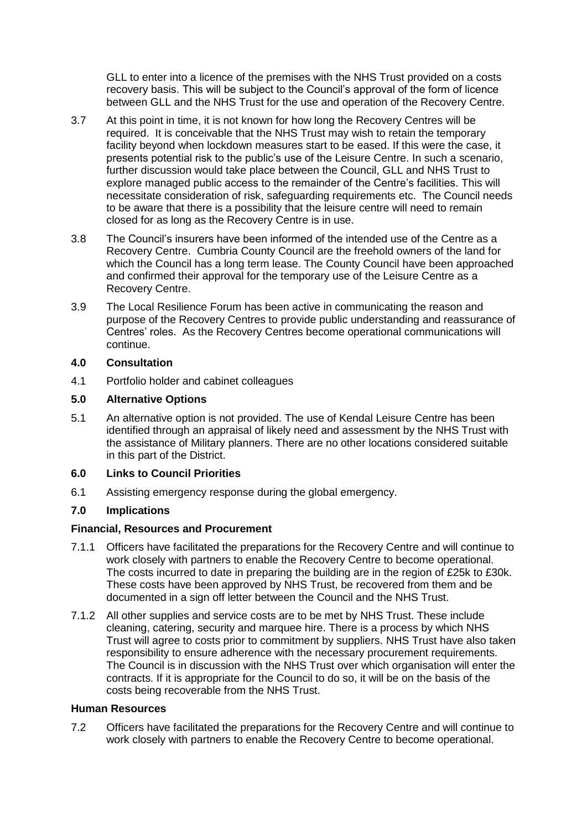GLL to enter into a licence of the premises with the NHS Trust provided on a costs recovery basis. This will be subject to the Council's approval of the form of licence between GLL and the NHS Trust for the use and operation of the Recovery Centre.

- 3.7 At this point in time, it is not known for how long the Recovery Centres will be required. It is conceivable that the NHS Trust may wish to retain the temporary facility beyond when lockdown measures start to be eased. If this were the case, it presents potential risk to the public's use of the Leisure Centre. In such a scenario, further discussion would take place between the Council, GLL and NHS Trust to explore managed public access to the remainder of the Centre's facilities. This will necessitate consideration of risk, safeguarding requirements etc. The Council needs to be aware that there is a possibility that the leisure centre will need to remain closed for as long as the Recovery Centre is in use.
- 3.8 The Council's insurers have been informed of the intended use of the Centre as a Recovery Centre. Cumbria County Council are the freehold owners of the land for which the Council has a long term lease. The County Council have been approached and confirmed their approval for the temporary use of the Leisure Centre as a Recovery Centre.
- 3.9 The Local Resilience Forum has been active in communicating the reason and purpose of the Recovery Centres to provide public understanding and reassurance of Centres' roles. As the Recovery Centres become operational communications will continue.

#### **4.0 Consultation**

4.1 Portfolio holder and cabinet colleagues

### **5.0 Alternative Options**

5.1 An alternative option is not provided. The use of Kendal Leisure Centre has been identified through an appraisal of likely need and assessment by the NHS Trust with the assistance of Military planners. There are no other locations considered suitable in this part of the District.

# **6.0 Links to Council Priorities**

6.1 Assisting emergency response during the global emergency.

# **7.0 Implications**

#### **Financial, Resources and Procurement**

- 7.1.1 Officers have facilitated the preparations for the Recovery Centre and will continue to work closely with partners to enable the Recovery Centre to become operational. The costs incurred to date in preparing the building are in the region of £25k to £30k. These costs have been approved by NHS Trust, be recovered from them and be documented in a sign off letter between the Council and the NHS Trust.
- 7.1.2 All other supplies and service costs are to be met by NHS Trust. These include cleaning, catering, security and marquee hire. There is a process by which NHS Trust will agree to costs prior to commitment by suppliers. NHS Trust have also taken responsibility to ensure adherence with the necessary procurement requirements. The Council is in discussion with the NHS Trust over which organisation will enter the contracts. If it is appropriate for the Council to do so, it will be on the basis of the costs being recoverable from the NHS Trust.

#### **Human Resources**

7.2 Officers have facilitated the preparations for the Recovery Centre and will continue to work closely with partners to enable the Recovery Centre to become operational.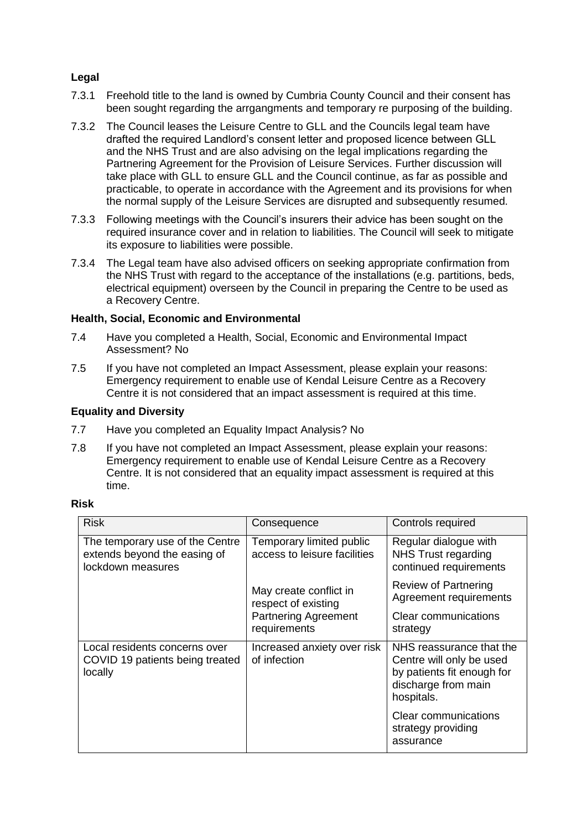# **Legal**

- 7.3.1 Freehold title to the land is owned by Cumbria County Council and their consent has been sought regarding the arrgangments and temporary re purposing of the building.
- 7.3.2 The Council leases the Leisure Centre to GLL and the Councils legal team have drafted the required Landlord's consent letter and proposed licence between GLL and the NHS Trust and are also advising on the legal implications regarding the Partnering Agreement for the Provision of Leisure Services. Further discussion will take place with GLL to ensure GLL and the Council continue, as far as possible and practicable, to operate in accordance with the Agreement and its provisions for when the normal supply of the Leisure Services are disrupted and subsequently resumed.
- 7.3.3 Following meetings with the Council's insurers their advice has been sought on the required insurance cover and in relation to liabilities. The Council will seek to mitigate its exposure to liabilities were possible.
- 7.3.4 The Legal team have also advised officers on seeking appropriate confirmation from the NHS Trust with regard to the acceptance of the installations (e.g. partitions, beds, electrical equipment) overseen by the Council in preparing the Centre to be used as a Recovery Centre.

#### **Health, Social, Economic and Environmental**

- 7.4 Have you completed a Health, Social, Economic and Environmental Impact Assessment? No
- 7.5 If you have not completed an Impact Assessment, please explain your reasons: Emergency requirement to enable use of Kendal Leisure Centre as a Recovery Centre it is not considered that an impact assessment is required at this time.

#### **Equality and Diversity**

- 7.7 Have you completed an Equality Impact Analysis? No
- 7.8 If you have not completed an Impact Assessment, please explain your reasons: Emergency requirement to enable use of Kendal Leisure Centre as a Recovery Centre. It is not considered that an equality impact assessment is required at this time.

#### **Risk**

| <b>Risk</b>                                                                          | Consequence                                                                                  | Controls required                                                                                                       |
|--------------------------------------------------------------------------------------|----------------------------------------------------------------------------------------------|-------------------------------------------------------------------------------------------------------------------------|
| The temporary use of the Centre<br>extends beyond the easing of<br>lockdown measures | Temporary limited public<br>access to leisure facilities                                     | Regular dialogue with<br><b>NHS Trust regarding</b><br>continued requirements                                           |
|                                                                                      | May create conflict in<br>respect of existing<br><b>Partnering Agreement</b><br>requirements | <b>Review of Partnering</b><br>Agreement requirements                                                                   |
|                                                                                      |                                                                                              | Clear communications<br>strategy                                                                                        |
| Local residents concerns over<br>COVID 19 patients being treated<br>locally          | Increased anxiety over risk<br>of infection                                                  | NHS reassurance that the<br>Centre will only be used<br>by patients fit enough for<br>discharge from main<br>hospitals. |
|                                                                                      |                                                                                              | <b>Clear communications</b><br>strategy providing<br>assurance                                                          |